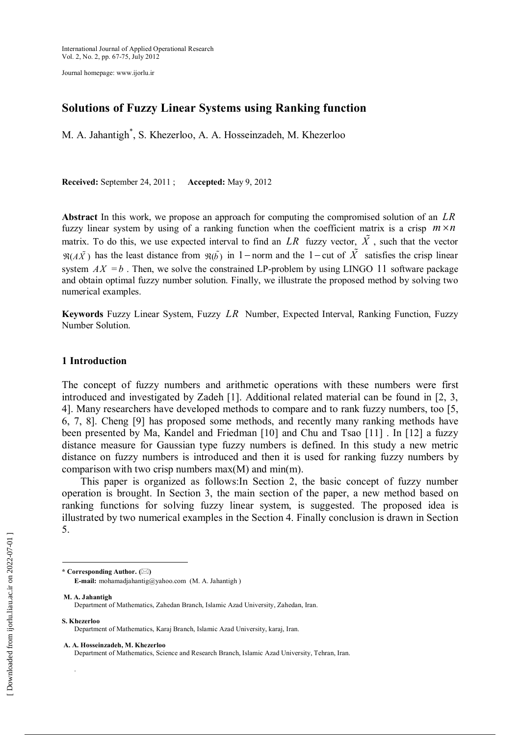Journal homepage: www.ijorlu.ir

# **Solutions of Fuzzy Linear Systems using Ranking function**

M. A. Jahantigh \* , S. Khezerloo, A. A. Hosseinzadeh, M. Khezerloo

**Received:** September 24, 2011 ; **Accepted:** May 9, 2012

**Abstract** In this work, we propose an approach for computing the compromised solution of an *LR* fuzzy linear system by using of a ranking function when the coefficient matrix is a crisp  $m \times n$ matrix. To do this, we use expected interval to find an *LR* fuzzy vector,  $\tilde{X}$ , such that the vector  $\Re(A\tilde{X})$  has the least distance from  $\Re(\tilde{b})$  in 1 - norm and the 1 - cut of  $\tilde{X}$  satisfies the crisp linear system  $AX = b$ . Then, we solve the constrained LP-problem by using LINGO 11 software package and obtain optimal fuzzy number solution. Finally, we illustrate the proposed method by solving two numerical examples.

**Keywords** Fuzzy Linear System, Fuzzy *LR* Number, Expected Interval, Ranking Function, Fuzzy Number Solution.

## **1 Introduction**

The concept of fuzzy numbers and arithmetic operations with these numbers were first introduced and investigated by Zadeh [1]. Additional related material can be found in [2, 3, 4]. Many researchers have developed methods to compare and to rank fuzzy numbers, too [5, 6, 7, 8]. Cheng [9] has proposed some methods, and recently many ranking methods have been presented by Ma, Kandel and Friedman [10] and Chu and Tsao [11] . In [12] a fuzzy distance measure for Gaussian type fuzzy numbers is defined. In this study a new metric distance on fuzzy numbers is introduced and then it is used for ranking fuzzy numbers by comparison with two crisp numbers  $max(M)$  and  $min(m)$ .

This paper is organized as follows:In Section 2, the basic concept of fuzzy number operation is brought. In Section 3, the main section of the paper, a new method based on ranking functions for solving fuzzy linear system, is suggested. The proposed idea is illustrated by two numerical examples in the Section 4. Finally conclusion is drawn in Section 5.

**M. A. Jahantigh** Department of Mathematics, Zahedan Branch, Islamic Azad University, Zahedan, Iran.

**S. Khezerloo**

.

 $\overline{a}$ 

**A. A. Hosseinzadeh, M. Khezerloo**

**<sup>\*</sup> Corresponding Author. ()**

**E-mail:** mohamadjahantig@yahoo.com (M. A. Jahantigh )

Department of Mathematics, Karaj Branch, Islamic Azad University, karaj, Iran.

Department of Mathematics, Science and Research Branch, Islamic Azad University, Tehran, Iran.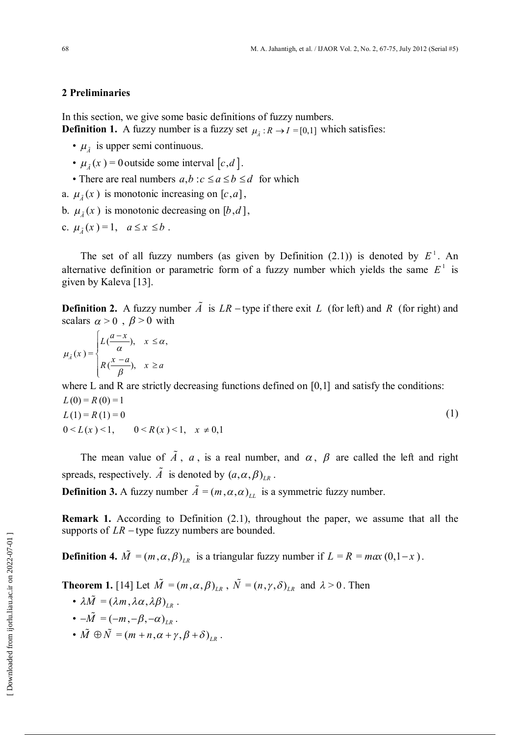## **2 Preliminaries**

In this section, we give some basic definitions of fuzzy numbers. **Definition 1.** A fuzzy number is a fuzzy set  $\mu_{\tilde{A}} : R \to I = [0,1]$  which satisfies:

- $\mu_{\tilde{A}}$  is upper semi continuous.
- $\mu_{\tilde{A}}(x) = 0$  outside some interval  $[c, d]$ .
	- There are real numbers  $a, b : c \le a \le b \le d$  for which
- a.  $\mu_{\tilde{A}}(x)$  is monotonic increasing on [ $c$ , $a$ ],
- b.  $\mu_{\tilde{A}}(x)$  is monotonic decreasing on [b,d],
- c.  $\mu_{\tilde{A}}(x) = 1, \quad a \leq x \leq b$ .

The set of all fuzzy numbers (as given by Definition  $(2.1)$ ) is denoted by  $E^1$ . An alternative definition or parametric form of a fuzzy number which yields the same  $E^{\perp}$  is given by Kaleva [13].

**Definition 2.** A fuzzy number  $\tilde{A}$  is  $LR$  – type if there exit  $L$  (for left) and  $R$  (for right) and scalars  $\alpha > 0$ ,  $\beta > 0$  with

$$
\mu_{\tilde{A}}(x) = \begin{cases} L\left(\frac{a-x}{\alpha}\right), & x \leq \alpha, \\ R\left(\frac{x-a}{\beta}\right), & x \geq a \end{cases}
$$

where L and R are strictly decreasing functions defined on [0,1] and satisfy the conditions:  $L(0) = R(0) = 1$  $L(1) = R(1) = 0$  $0 \le L(x) \le 1, \quad 0 \le R(x) \le 1, \quad x \ne 0,1$ (1)

The mean value of  $\tilde{A}$ ,  $a$ , is a real number, and  $\alpha$ ,  $\beta$  are called the left and right spreads, respectively.  $\tilde{A}$  is denoted by  $(a, \alpha, \beta)_{LR}$ .

**Definition 3.** A fuzzy number  $\tilde{A} = (m, \alpha, \alpha)_{LL}$  is a symmetric fuzzy number.

**Remark 1.** According to Definition (2.1), throughout the paper, we assume that all the supports of  $LR$  – type fuzzy numbers are bounded.

**Definition 4.**  $\tilde{M} = (m, \alpha, \beta)_{LR}$  is a triangular fuzzy number if  $L = R = max(0, 1-x)$ .

**Theorem 1.** [14] Let  $\tilde{M} = (m, \alpha, \beta)_{LR}$ ,  $\tilde{N} = (n, \gamma, \delta)_{LR}$  and  $\lambda > 0$ . Then

- $\lambda \tilde{M} = (\lambda m, \lambda \alpha, \lambda \beta)_{LR}$ .
- $-\tilde{M} = (-m, -\beta, -\alpha)_{LR}$ .
- $\tilde{M} \oplus \tilde{N} = (m + n, \alpha + \gamma, \beta + \delta)_{LR}$ .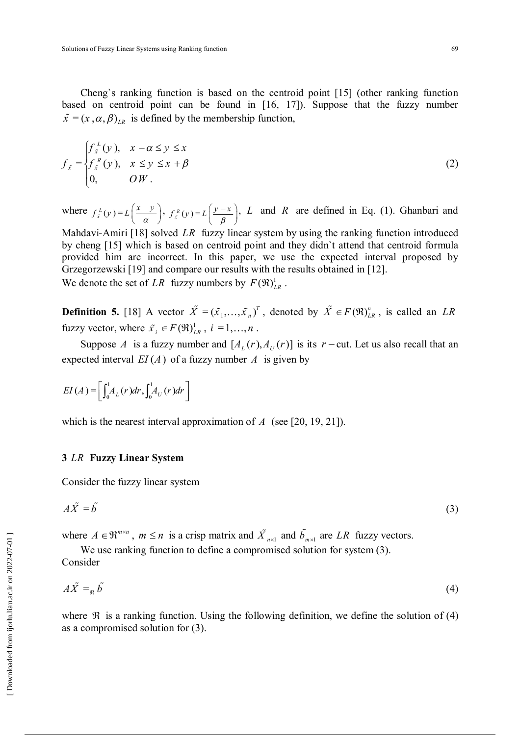Cheng`s ranking function is based on the centroid point [15] (other ranking function based on centroid point can be found in [16, 17]). Suppose that the fuzzy number  $\tilde{x} = (x, \alpha, \beta)_{LR}$  is defined by the membership function,

$$
f_{\vec{x}} = \begin{cases} f_{\vec{x}}^L(y), & x - \alpha \le y \le x \\ f_{\vec{x}}^R(y), & x \le y \le x + \beta \\ 0, & \text{OW} \end{cases}
$$
 (2)

where  $f_x^L(y) = L\left(\frac{x-y}{\alpha}\right)^2$  $f_{\vec{i}}^L(y) = L\left(\frac{x-y}{\alpha}\right), \ f_{\vec{i}}^R(y) = L\left(\frac{y-x}{\beta}\right)$  $(y-x)$  $L^R(y) = L\left(\frac{y-x}{\beta}\right)$ , *L* and *R* are defined in Eq. (1). Ghanbari and

Mahdavi-Amiri [18] solved *LR* fuzzy linear system by using the ranking function introduced by cheng [15] which is based on centroid point and they didn`t attend that centroid formula provided him are incorrect. In this paper, we use the expected interval proposed by Grzegorzewski [19] and compare our results with the results obtained in [12]. We denote the set of *LR* fuzzy numbers by  $F(\mathfrak{R})_{LR}^1$ .

**Definition 5.** [18] A vector  $\tilde{X} = (\tilde{x}_1, ..., \tilde{x}_n)^T$ , denoted by  $\tilde{X} \in F(\mathfrak{R})_{LR}^n$ , is called an *LR* fuzzy vector, where  $\tilde{x}_i \in F(\Re)^1_{LR}$ ,  $i = 1, ..., n$ .

Suppose *A* is a fuzzy number and  $[A_t(r), A_t(r)]$  is its  $r$  - cut. Let us also recall that an expected interval  $EI(A)$  of a fuzzy number  $A$  is given by

$$
EI(A) = \left[\int_0^1 A_L(r)dr, \int_0^1 A_U(r)dr\right]
$$

which is the nearest interval approximation of *A* (see [20, 19, 21]).

#### **3** *LR* **Fuzzy Linear System**

Consider the fuzzy linear system

$$
A\tilde{X} = \tilde{b} \tag{3}
$$

where  $A \in \mathbb{R}^{m \times n}$ ,  $m \le n$  is a crisp matrix and  $\tilde{X}_{n \times 1}$  and  $\tilde{b}_{m \times 1}$  are LR fuzzy vectors.

We use ranking function to define a compromised solution for system (3). Consider

$$
A\tilde{X} =_{\mathfrak{R}} \tilde{b} \tag{4}
$$

where  $\Re$  is a ranking function. Using the following definition, we define the solution of (4) as a compromised solution for (3).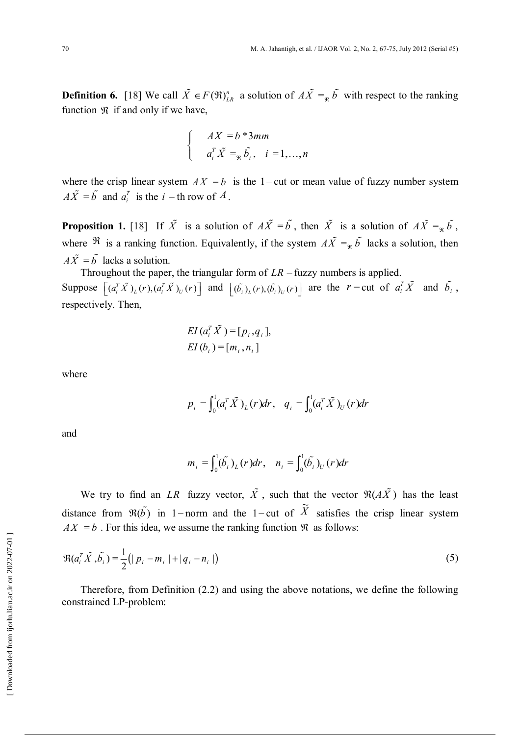**Definition 6.** [18] We call  $\tilde{X} \in F(\Re)_{LR}^n$  a solution of  $A\tilde{X} =_{\Re} \tilde{b}$  with respect to the ranking function  $\Re$  if and only if we have,

$$
\begin{cases}\nAX = b * 3mm \\
a_i^T \tilde{X} =_{\mathfrak{R}} \tilde{b}_i, \quad i = 1, \dots, n\n\end{cases}
$$

where the crisp linear system  $AX = b$  is the 1-cut or mean value of fuzzy number system  $A\tilde{X} = \tilde{b}$  and  $a_i^T$  is the *i* - th row of *A*.

**Proposition 1.** [18] If  $\tilde{X}$  is a solution of  $A\tilde{X} = \tilde{b}$ , then  $\tilde{X}$  is a solution of  $A\tilde{X} = \tilde{b}$ , where  $\Re$  is a ranking function. Equivalently, if the system  $A\tilde{X} =_{\Re} \tilde{b}$  lacks a solution, then  $A\tilde{X} = \tilde{b}$  lacks a solution.

Throughout the paper, the triangular form of  $LR$  – fuzzy numbers is applied. Suppose  $\left[ (a_i^T \tilde{X})_L(r), (a_i^T \tilde{X})_U(r) \right]$  and  $\left[ (\tilde{b}_i)_L(r), (\tilde{b}_i)_U(r) \right]$  are the *r*-cut of  $a_i^T \tilde{X}$  and  $\tilde{b}_i$ , respectively. Then,

$$
EI (a_i^T \tilde{X}) = [p_i, q_i],
$$
  
 
$$
EI (b_i) = [m_i, n_i]
$$

where

$$
p_i = \int_0^1 (a_i^T \tilde{X})_L(r) dr, \quad q_i = \int_0^1 (a_i^T \tilde{X})_U(r) dr
$$

and

$$
m_i = \int_0^1 (\tilde{b}_i)_L (r) dr, \quad n_i = \int_0^1 (\tilde{b}_i)_U (r) dr
$$

We try to find an *LR* fuzzy vector,  $\tilde{X}$ , such that the vector  $\Re(A\tilde{X})$  has the least distance from  $\Re(\tilde{b})$  in 1-norm and the 1-cut of  $\tilde{X}$ satisfies the crisp linear system  $AX = b$ . For this idea, we assume the ranking function  $\Re$  as follows:

$$
\Re(a_i^T \tilde{X}, \tilde{b}_i) = \frac{1}{2} (|p_i - m_i| + |q_i - n_i|)
$$
\n(5)

Therefore, from Definition (2.2) and using the above notations, we define the following constrained LP-problem: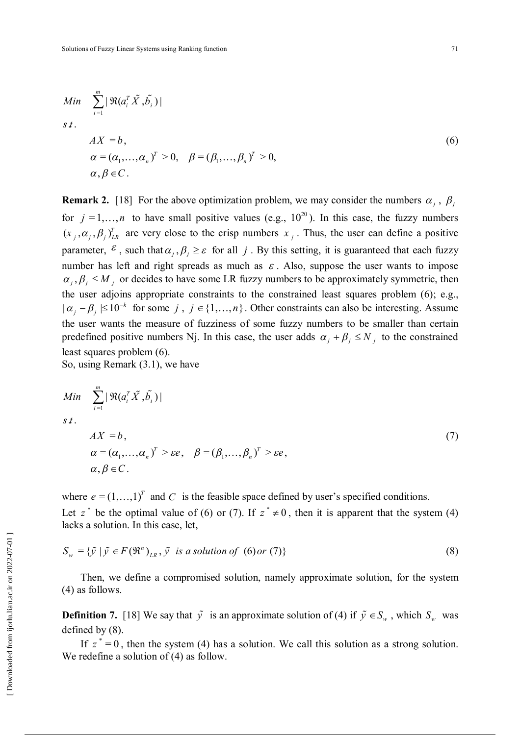Min 
$$
\sum_{i=1}^{m} |\Re(a_i^T \tilde{X}, \tilde{b}_i)|
$$
  
s t.  

$$
AX = b,
$$
  

$$
\alpha = (\alpha_1, ..., \alpha_n)^T > 0, \quad \beta = (\beta_1, ..., \beta_n)^T > 0,
$$
  

$$
\alpha, \beta \in C.
$$
  
(6)

**Remark 2.** [18] For the above optimization problem, we may consider the numbers  $\alpha_j$ ,  $\beta_j$ for  $j = 1, ..., n$  to have small positive values (e.g.,  $10^{20}$ ). In this case, the fuzzy numbers  $(x_j, \alpha_j, \beta_j)_{LR}^T$  are very close to the crisp numbers  $x_j$ . Thus, the user can define a positive parameter,  $\epsilon$ , such that  $\alpha_j$ ,  $\beta_j \geq \epsilon$  for all *j*. By this setting, it is guaranteed that each fuzzy number has left and right spreads as much as  $\varepsilon$ . Also, suppose the user wants to impose  $\alpha_i, \beta_j \leq M_j$  or decides to have some LR fuzzy numbers to be approximately symmetric, then the user adjoins appropriate constraints to the constrained least squares problem (6); e.g.,  $| \alpha_j - \beta_j | \leq 10^{-k}$  for some *j*,  $j \in \{1, ..., n\}$ . Other constraints can also be interesting. Assume the user wants the measure of fuzziness of some fuzzy numbers to be smaller than certain predefined positive numbers Nj. In this case, the user adds  $\alpha_i + \beta_i \le N_i$  to the constrained least squares problem (6).

So, using Remark (3.1), we have

Min 
$$
\sum_{i=1}^{m} |\Re(a_i^T \tilde{X}, \tilde{b}_i)|
$$
  
s t.  

$$
AX = b,
$$
  

$$
\alpha = (\alpha_1, ..., \alpha_n)^T > \varepsilon e, \quad \beta = (\beta_1, ..., \beta_n)^T > \varepsilon e,
$$
  

$$
\alpha, \beta \in C.
$$
 (7)

where  $e = (1, \ldots, 1)^T$  and *C* is the feasible space defined by user's specified conditions.

Let  $z^*$  be the optimal value of (6) or (7). If  $z^* \neq 0$ , then it is apparent that the system (4) lacks a solution. In this case, let,

$$
S_w = \{ \tilde{y} \mid \tilde{y} \in F(\mathfrak{R}^n)_{LR}, \tilde{y} \text{ is a solution of (6) or (7)} \}
$$
\n
$$
(8)
$$

Then, we define a compromised solution, namely approximate solution, for the system (4) as follows.

**Definition 7.** [18] We say that  $\tilde{y}$  is an approximate solution of (4) if  $\tilde{y} \in S_w$ , which  $S_w$  was defined by (8).

If  $z^* = 0$ , then the system (4) has a solution. We call this solution as a strong solution. We redefine a solution of (4) as follow.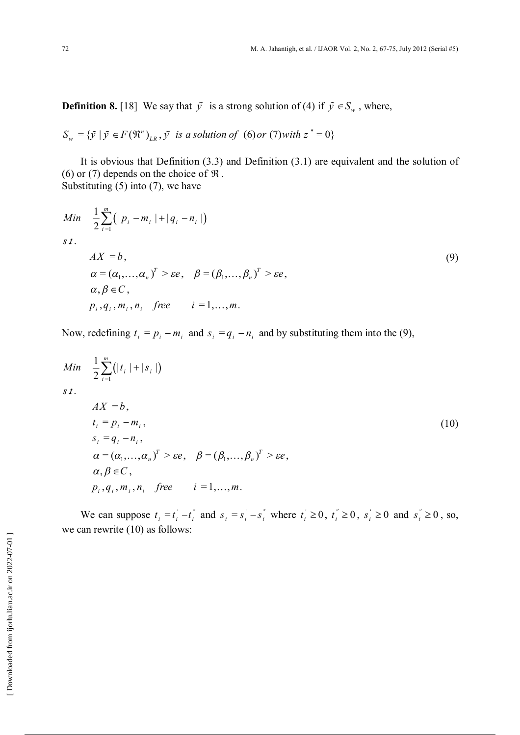**Definition 8.** [18] We say that  $\tilde{y}$  is a strong solution of (4) if  $\tilde{y} \in S_w$ , where,

$$
S_w = \{ \tilde{y} \mid \tilde{y} \in F(\mathfrak{R}^n)_{LR}, \tilde{y} \text{ is a solution of (6) or (7) with } z^* = 0 \}
$$

It is obvious that Definition (3.3) and Definition (3.1) are equivalent and the solution of (6) or (7) depends on the choice of  $\Re$ . Substituting  $(5)$  into  $(7)$ , we have

Min 
$$
\frac{1}{2} \sum_{i=1}^{m} (|p_i - m_i| + |q_i - n_i|)
$$
  
\ns*t*.  
\n
$$
AX = b,
$$
\n
$$
\alpha = (\alpha_1, ..., \alpha_n)^T > \varepsilon e, \quad \beta = (\beta_1, ..., \beta_n)^T > \varepsilon e,
$$
\n
$$
\alpha, \beta \in C,
$$
\n
$$
p_i, q_i, m_i, n_i \quad \text{free} \quad i = 1, ..., m.
$$
\n(9)

Now, redefining  $t_i = p_i - m_i$  and  $s_i = q_i - n_i$  and by substituting them into the (9),

$$
Min \frac{1}{2} \sum_{i=1}^{m} (|t_i| + |s_i|)
$$
  
\n
$$
s.t.
$$
  
\n
$$
AX = b,
$$
  
\n
$$
t_i = p_i - m_i,
$$
  
\n
$$
s_i = q_i - n_i,
$$
  
\n
$$
\alpha = (\alpha_1, ..., \alpha_n)^T > \varepsilon e, \quad \beta = (\beta_1, ..., \beta_n)^T > \varepsilon e,
$$
  
\n
$$
\alpha, \beta \in C,
$$
  
\n
$$
p_i, q_i, m_i, n_i \quad \text{free} \quad i = 1, ..., m.
$$
  
\n(10)

We can suppose  $t_i = t_i - t_i^*$  and  $s_i = s_i - s_i^*$  where  $t_i \ge 0$ ,  $t_i^* \ge 0$ ,  $s_i \ge 0$  and  $s_i^* \ge 0$ , so, we can rewrite (10) as follows: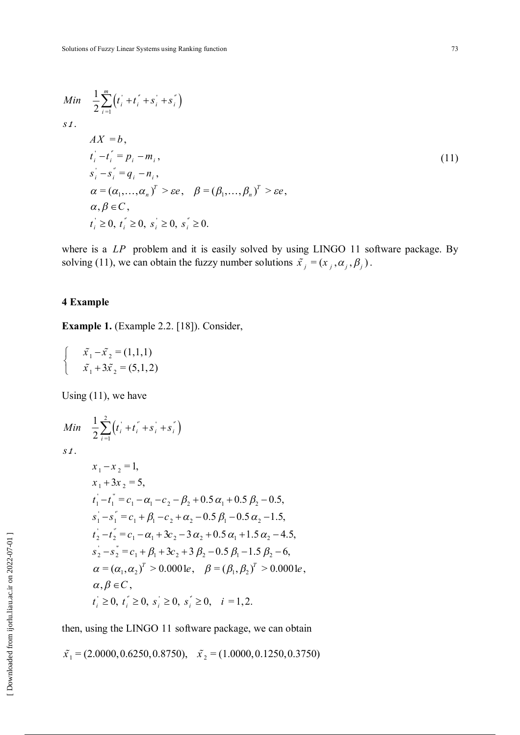Min 
$$
\frac{1}{2} \sum_{i=1}^{m} (t_i + t_i + s_i + s_i)
$$
  
\ns*t*.  
\n $AX = b$ ,  
\n $t_i - t_i = p_i - m_i$ ,  
\n $s_i - s_i = q_i - n_i$ ,  
\n $\alpha = (\alpha_1, ..., \alpha_n)^T > \varepsilon e$ ,  $\beta = (\beta_1, ..., \beta_n)^T > \varepsilon e$ ,  
\n $\alpha, \beta \in C$ ,  
\n $t_i \ge 0$ ,  $t_i \ge 0$ ,  $s_i \ge 0$ ,  $s_i \ge 0$ ,  $s_i \ge 0$ .

where is a *LP* problem and it is easily solved by using LINGO 11 software package. By solving (11), we can obtain the fuzzy number solutions  $\tilde{x}_j = (x_j, \alpha_j, \beta_j)$ .

# **4 Example**

**Example 1.** (Example 2.2. [18]). Consider,

$$
\begin{cases}\n\tilde{x}_1 - \tilde{x}_2 = (1, 1, 1) \\
\tilde{x}_1 + 3\tilde{x}_2 = (5, 1, 2)\n\end{cases}
$$

Using (11), we have

Min 
$$
\frac{1}{2} \sum_{i=1}^{2} (t_i + t_i^{\prime\prime} + s_i^{\prime} + s_i^{\prime\prime})
$$
  
\ns*t*.  
\n $x_1 - x_2 = 1$ ,  
\n $x_1 + 3x_2 = 5$ ,  
\n $t_1^{\prime} - t_1^{\prime\prime} = c_1 - \alpha_1 - c_2 - \beta_2 + 0.5 \alpha_1 + 0.5 \beta_2 - 0.5$ ,  
\n $s_1^{\prime} - s_1^{\prime\prime} = c_1 + \beta_1 - c_2 + \alpha_2 - 0.5 \beta_1 - 0.5 \alpha_2 - 1.5$ ,  
\n $t_2^{\prime} - t_2^{\prime\prime} = c_1 - \alpha_1 + 3c_2 - 3 \alpha_2 + 0.5 \alpha_1 + 1.5 \alpha_2 - 4.5$ ,  
\n $s_2^{\prime} - s_2^{\prime\prime} = c_1 + \beta_1 + 3c_2 + 3 \beta_2 - 0.5 \beta_1 - 1.5 \beta_2 - 6$ ,  
\n $\alpha = (\alpha_1, \alpha_2)^T > 0.0001e$ ,  $\beta = (\beta_1, \beta_2)^T > 0.0001e$ ,  
\n $\alpha, \beta \in C$ ,  
\n $t_i^{\prime} \ge 0$ ,  $t_i^{\prime} \ge 0$ ,  $s_i^{\prime} \ge 0$ ,  $s_i^{\prime} \ge 0$ ,  $i = 1, 2$ .

then, using the LINGO 11 software package, we can obtain

 $\tilde{x}_1$  = (2.0000, 0.6250, 0.8750),  $\tilde{x}_2$  = (1.0000, 0.1250, 0.3750)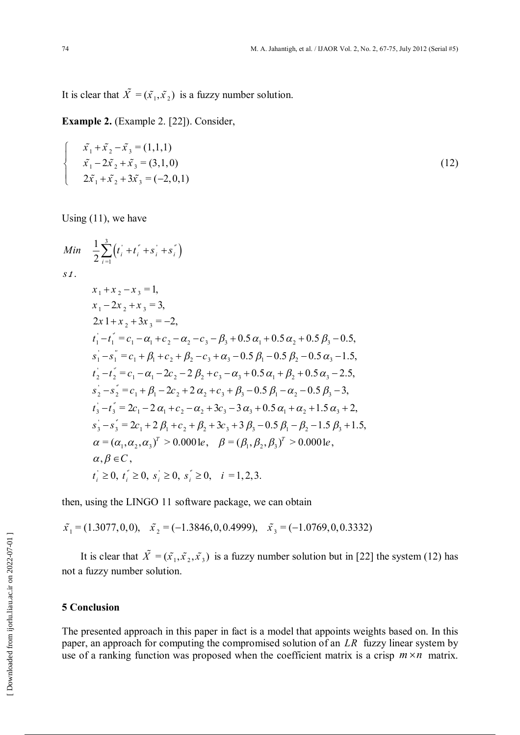It is clear that  $\tilde{X} = (\tilde{x}_1, \tilde{x}_2)$  is a fuzzy number solution.

**Example 2.** (Example 2. [22]). Consider,

$$
\begin{cases}\n\tilde{x}_1 + \tilde{x}_2 - \tilde{x}_3 = (1,1,1) \\
\tilde{x}_1 - 2\tilde{x}_2 + \tilde{x}_3 = (3,1,0) \\
2\tilde{x}_1 + \tilde{x}_2 + 3\tilde{x}_3 = (-2,0,1)\n\end{cases}
$$
\n(12)

Using (11), we have

$$
Min \frac{1}{2} \sum_{i=1}^{3} (t_i + t_i^{\prime\prime} + s_i^{\prime\prime} + s_i^{\prime\prime})
$$
\n
$$
s.t.
$$
\n
$$
x_1 + x_2 - x_3 = 1,
$$
\n
$$
x_1 - 2x_2 + x_3 = 3,
$$
\n
$$
2x_1 + x_2 + 3x_3 = -2,
$$
\n
$$
t_1^{\prime\prime} - t_1^{\prime\prime} = c_1 - \alpha_1 + c_2 - \alpha_2 - c_3 - \beta_3 + 0.5 \alpha_1 + 0.5 \alpha_2 + 0.5 \beta_3 - 0.5,
$$
\n
$$
s_1^{\prime\prime} - s_1^{\prime\prime} = c_1 + \beta_1 + c_2 + \beta_2 - c_3 + \alpha_3 - 0.5 \beta_1 - 0.5 \beta_2 - 0.5 \alpha_3 - 1.5,
$$
\n
$$
t_2^{\prime\prime} - t_2^{\prime\prime} = c_1 - \alpha_1 - 2c_2 - 2\beta_2 + c_3 - \alpha_3 + 0.5 \alpha_1 + \beta_2 + 0.5 \alpha_3 - 2.5,
$$
\n
$$
s_2^{\prime\prime} - s_2^{\prime\prime} = c_1 + \beta_1 - 2c_2 + 2\alpha_2 + c_3 + \beta_3 - 0.5 \beta_1 - \alpha_2 - 0.5 \beta_3 - 3,
$$
\n
$$
t_3^{\prime\prime} - t_3^{\prime\prime} = 2c_1 - 2\alpha_1 + c_2 - \alpha_2 + 3c_3 - 3\alpha_3 + 0.5 \alpha_1 + \alpha_2 + 1.5 \alpha_3 + 2,
$$
\n
$$
s_3^{\prime\prime} - s_3^{\prime\prime} = 2c_1 + 2\beta_1 + c_2 + \beta_2 + 3c_3 + 3\beta_3 - 0.5 \beta_1 - \beta_2 - 1.5 \beta_3 + 1.5,
$$
\n
$$
\alpha = (\alpha_1, \alpha_2, \alpha_3)^T > 0.0001e, \quad \beta = (\beta_1, \beta_2, \beta_3)^T > 0.0001e,
$$
\n
$$
\alpha, \beta \in C,
$$
\n<

then, using the LINGO 11 software package, we can obtain

 $\tilde{x_1} = (1.3077, 0, 0), \quad \tilde{x_2} = (-1.3846, 0, 0.4999), \quad \tilde{x_3} = (-1.0769, 0, 0.3332)$ 

It is clear that  $\tilde{X} = (\tilde{x}_1, \tilde{x}_2, \tilde{x}_3)$  is a fuzzy number solution but in [22] the system (12) has not a fuzzy number solution.

# **5 Conclusion**

The presented approach in this paper in fact is a model that appoints weights based on. In this paper, an approach for computing the compromised solution of an *LR* fuzzy linear system by use of a ranking function was proposed when the coefficient matrix is a crisp  $m \times n$  matrix.